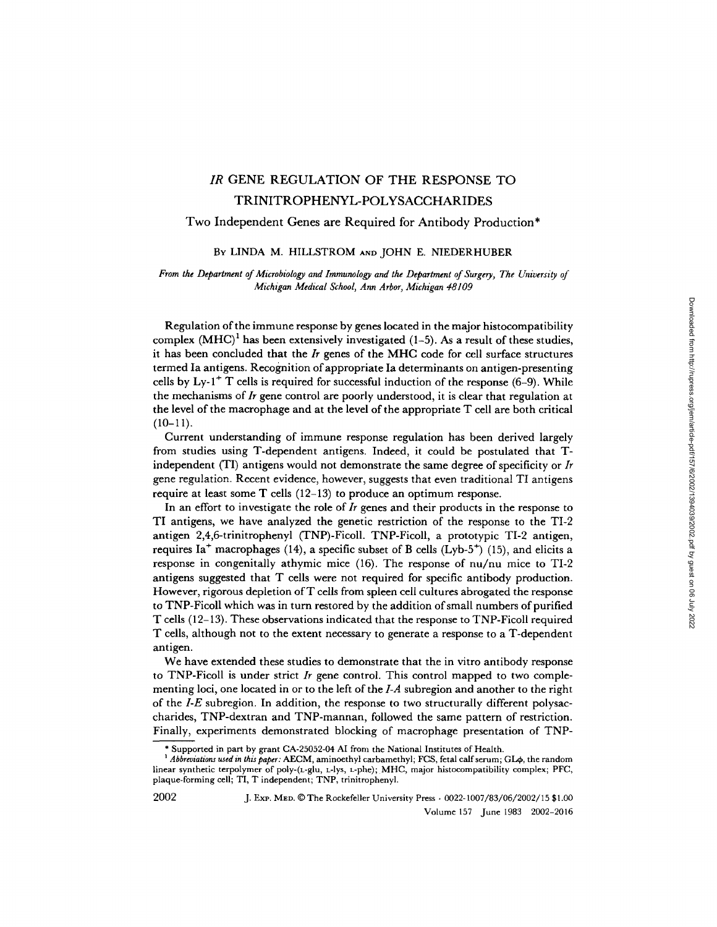# *IR* GENE REGULATION OF THE RESPONSE TO TRINITROPHENYL-POLYSACCHARIDES

## Two Independent Genes are Required for Antibody Production\*

## BY LINDA M. HILLSTROM AND JOHN E. NIEDERHUBER

## *From the Department of Microbiology and Immunology and the Department of Surgery, The University of Michigan Medical School, Ann Arbor, Michigan 48109*

Regulation of the immune response by genes located in the major histocompatibility complex (MHC)<sup>1</sup> has been extensively investigated (1-5). As a result of these studies, it has been concluded that the *Ir* genes of the MHC code for cell surface structures termed Ia antigens. Recognition of appropriate Ia determinants on antigen-presenting cells by  $Ly -1 + T$  cells is required for successful induction of the response (6–9). While the mechanisms of *Ir* gene control are poorly understood, it is clear that regulation at the level of the macrophage and at the level of the appropriate T cell are both critical  $(10-11).$ 

Current understanding of immune response regulation has been derived largely from studies using T-dependent antigens. Indeed, it could be postulated that Tindependent (TI) antigens would not demonstrate the same degree of specificity or *Ir*  gene regulation. Recent evidence, however, suggests that even traditional TI antigens require at least some  $T$  cells (12-13) to produce an optimum response.

In an effort to investigate the role of *Ir* genes and their products in the response to TI antigens, we have analyzed the genetic restriction of the response to the TI-2 antigen 2,4,6-trinitrophenyl (TNP)-Ficoll. TNP-Ficoll, a prototypic TI-2 antigen, requires Ia<sup>+</sup> macrophages (14), a specific subset of B cells (Lyb-5<sup>+</sup>) (15), and elicits a response in congenitally athymic mice (16). The response of nu/nu mice to TI-2 antigens suggested that T cells were not required for specific antibody production. However, rigorous depletion of T cells from spleen cell cultures abrogated the response to TNP-Ficoll which was in turn restored by the addition of small numbers of purified T cells (12-13). These observations indicated that the response to TNP-Ficoll required T cells, although not to the extent necessary to generate a response to a T-dependent antigen.

We have extended these studies to demonstrate that the in vitro antibody response to TNP-Ficoll is under strict *Ir* gene control. This control mapped to two complementing loci, one located in or to the left of the *I-A* subregion and another to the right of the *I-E* subregion. In addition, the response to two structurally different polysaccharides, TNP-dextran and TNP-mannan, followed the same pattern of restriction. Finally, experiments demonstrated blocking of macrophage presentation of TNP-

<sup>\*</sup> Supported in part by grant CA-25052-04 AI from the National Institutes of Health.

<sup>&</sup>lt;sup>1</sup> Abbreviations used in this paper: AECM, aminoethyl carbamethyl; FCS, fetal calf serum; GL $\phi$ , the random linear synthetic terpolymer of poly-(L-glu, L-lys, L-phe); MHC, major histocompatibility complex; PFC, plaque-forming cell; TI, T independent; TNP, trinitrophenyl.

<sup>2002</sup> J. ExP. MED. © The Rockefeller University Press • 0022-1007/83/06/2002/15 \$1.00 Volume 157 June 1983 2002-2016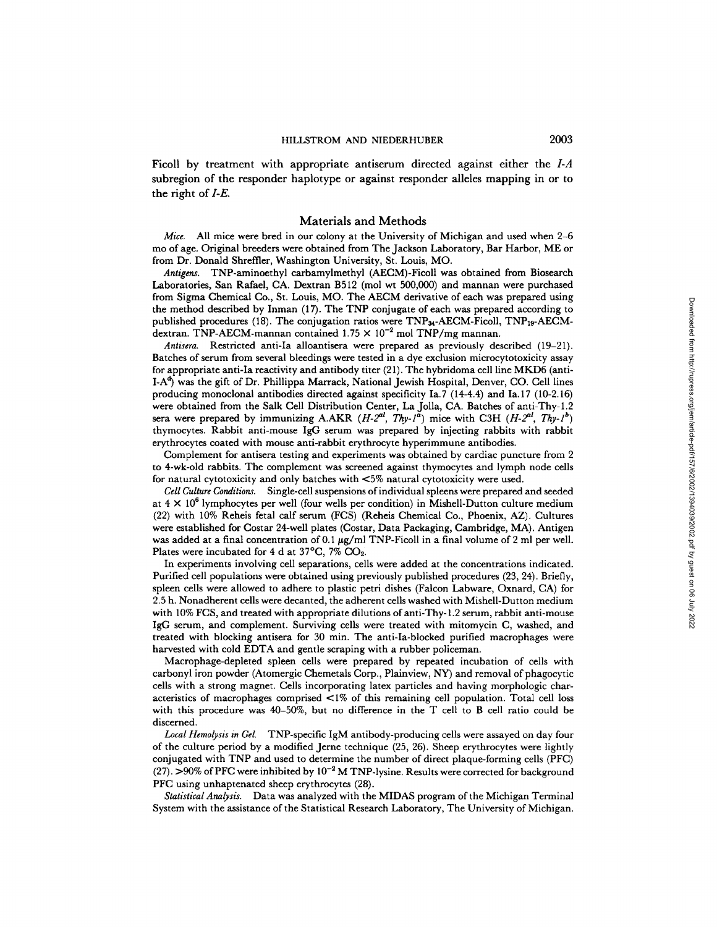Ficoll by treatment with appropriate antiserum directed against either the *I-A*  subregion of the responder haplotype or against responder alleles mapping in or to the right of *I-E.* 

### Materials and Methods

*Mice.* All mice were bred in our colony at the University of Michigan and used when 2-6 mo of age. Original breeders were obtained from The Jackson Laboratory, Bar Harbor, ME or from Dr. Donald Shreffler, Washington University, St. Louis, MO.

*Antigens.* TNP-aminoethyl carbamylmethyl (AECM)-Ficoll was obtained from Biosearch Laboratories, San Rafael, CA. Dextran B512 (mol wt 500,000) and mannan were purchased from Sigma Chemical Co., St. Louis, MO. The AECM derivative of each was prepared using the method described by Inman (17). The TNP conjugate of each was prepared according to published procedures (18). The conjugation ratios were  $TNP_{34}$ -AECM-Ficoll,  $TNP_{19}$ -AECMdextran. TNP-AECM-mannan contained  $1.75 \times 10^{-2}$  mol TNP/mg mannan.

*Antisera.* Restricted anti-Ia alloantisera were prepared as previously described (19-21). Batches of serum from several bleedings were tested in a dye exclusion microcytotoxieity assay for appropriate anti-Ia reactivity and antibody titer (21). The hybridoma cell line MKD6 (anti- $I-A<sup>d</sup>$ ) was the gift of Dr. Phillippa Marrack, National Jewish Hospital, Denver, CO. Cell lines producing monoclonal antibodies directed against specificity Ia.7 (14-4.4) and Ia. 17 (10-2.16) were obtained from the Salk Cell Distribution Center, La Jolla, CA. Batches of anti-Thy-l.2 sera were prepared by immunizing A.AKR  $(H-2^{al}, Thy-1^{a})$  mice with C3H  $(H-2^{al}, Thy-1^{b})$ thymocytes. Rabbit anti-mouse IgG serum was prepared by injecting rabbits with rabbit erythroeytes coated with mouse anti-rabbit erythrocyte hyperimmune antibodies.

Complement for antisera testing and experiments was obtained by cardiac puncture from 2 to 4-wk-old rabbits. The complement was screened against thymocytes and lymph node cells for natural cytotoxicity and only batches with  $\leq 5\%$  natural cytotoxicity were used.

*Cell Culture Conditions.* Single-cell suspensions of individual spleens were prepared and seeded at  $4 \times 10^6$  lymphocytes per well (four wells per condition) in Mishell-Dutton culture medium (22) with 10% Reheis fetal calf serum (FCS) (Reheis Chemical Co., Phoenix, AZ). Cultures were established for Costar 24-well plates (Costar, Data Packaging, Cambridge, MA). Antigen was added at a final concentration of 0.1  $\mu$ g/ml TNP-Ficoll in a final volume of 2 ml per well. Plates were incubated for 4 d at 37°C, 7% CO2.

In experiments involving cell separations, cells were added at the concentrations indicated. Purified cell populations were obtained using previously published procedures (23, 24). Briefly, spleen cells were allowed to adhere to plastic petri dishes (Falcon Labware, Oxnard, CA) for 2.5 h. Nonadherent cells were decanted, the adherent cells washed with Mishell-Dutton medium with 10% FCS, and treated with appropriate dilutions of anti-Thy-l.2 serum, rabbit anti-mouse IgG serum, and complement. Surviving cells were treated with mitomycin C, washed, and treated with blocking antisera for 30 min. The anti-Ia-bioeked purified macrophages were harvested with cold EDTA and gentle scraping with a rubber policeman.

Macrophage-depleted spleen cells were prepared by repeated incubation of cells with carbonyl iron powder (Atomergic Chemetals Corp., Plainview, NY) and removal of phagocytic cells with a strong magnet. Cells incorporating latex particles and having morphologic characteristics of macrophages comprised <1% of this remaining cell population. Total cell loss with this procedure was 40-50%, but no difference in the T cell to B cell ratio could be discerned.

*Local Hemolysis in Gel.* TNP-specific IgM antibody-producing cells were assayed on day four of the culture period by a modified Jerne technique (25, 26). Sheep erythrocytes were lightly conjugated with TNP and used to determine the number of direct plaque-forming cells (PFC) (27). >90% of PFC were inhibited by  $10^{-2}$  M TNP-lysine. Results were corrected for background PFC using unhaptenated sheep erythrocytes (28).

*Statistical Analysis.* Data was analyzed with the MIDAS program of the Michigan Terminal System with the assistance of the Statistical Research Laboratory, The University of Michigan.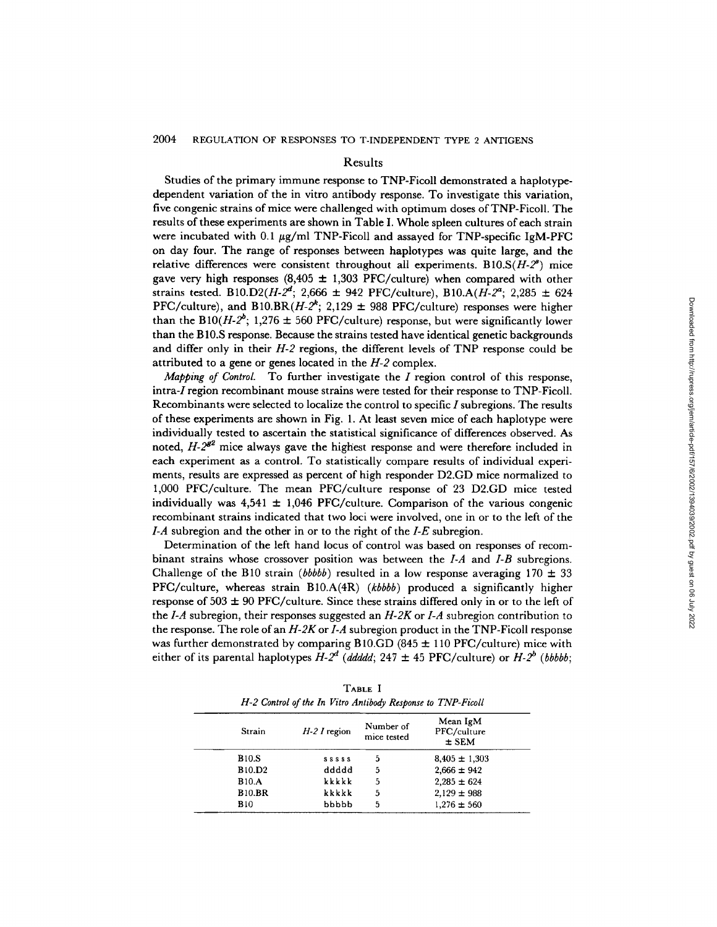## Results

Studies of the primary immune response to TNP-Ficoll demonstrated a haplotypedependent variation of the in vitro antibody response. To investigate this variation, five congenic strains of mice were challenged with optimum doses of TNP-FicoI1. The results of these experiments are shown in Table I. Whole spleen cultures of each strain were incubated with 0.1  $\mu$ g/ml TNP-Ficoll and assayed for TNP-specific IgM-PFC on day four. The range of responses between haplotypes was quite large, and the relative differences were consistent throughout all experiments.  $B10.S(H-2^*)$  mice gave very high responses  $(8,405 \pm 1,303$  PFC/culture) when compared with other strains tested. B10.D2( $H-2^d$ ; 2,666  $\pm$  942 PFC/culture), B10.A( $H-2^d$ ; 2,285  $\pm$  624 PFC/culture), and B10.BR( $H-2$ <sup>k</sup>; 2,129  $\pm$  988 PFC/culture) responses were higher than the B10( $H-2^b$ ; 1,276  $\pm$  560 PFC/culture) response, but were significantly lower than the B 10.S response. Because the strains tested have identical genetic backgrounds and differ only in their *H-2* regions, the different levels of TNP response could be attributed to a gene or genes located in the *H-2* complex.

*Mapping of Control.* To further investigate the I region control of this response, intra-I region recombinant mouse strains were tested for their response to TNP-Ficoll. Recombinants were selected to localize the control to specific I subregions. The results of these experiments are shown in Fig. 1. At least seven mice of each haplotype were individually tested to ascertain the statistical significance of differences observed. As noted,  $H-2^{g2}$  mice always gave the highest response and were therefore included in each experiment as a control. To statistically compare results of individual experiments, results are expressed as percent of high responder D2.GD mice normalized to 1,000 PFC/culture. The mean PFC/culture response of 23 D2.GD mice tested individually was  $4,541 \pm 1,046$  PFC/culture. Comparison of the various congenic recombinant strains indicated that two loci were involved, one in or to the left of the *I-A* subregion and the other in or to the right of the *I-E* subregion.

Determination of the left hand locus of control was based on responses of recombinant strains whose crossover position was between the *I-A* and *I-B* subregions. Challenge of the B10 strain *(bbbbb)* resulted in a low response averaging  $170 \pm 33$ PFC/culture, whereas strain B10.A(4R) *(kbbbb)* produced a significantly higher response of  $503 \pm 90$  PFC/culture. Since these strains differed only in or to the left of the *I-A* subregion, their responses suggested an *H-2K* or *I-A* subregion contribution to the response. The role of an *H-2K* or *I-A* subregion product in the TNP-Ficoll response was further demonstrated by comparing B10.GD (845  $\pm$  110 PFC/culture) mice with either of its parental haplotypes  $H-2^d$  (ddddd; 247  $\pm$  45 PFC/culture) or  $H-2^b$  (bbbbb;

| TABLE I                                                     |
|-------------------------------------------------------------|
| H-2 Control of the In Vitro Antibody Response to TNP-Ficoll |

| Strain        | $H2 I$ region | Number of<br>mice tested | Mean IgM<br>PFC/culture<br>$\pm$ SEM |
|---------------|---------------|--------------------------|--------------------------------------|
| <b>B10.S</b>  | <b>SSSSS</b>  | 5                        | $8,405 \pm 1,303$                    |
| <b>B10.D2</b> | ddddd         | 5                        | $2,666 \pm 942$                      |
| <b>B10.A</b>  | kkkkk         | 5                        | $2,285 \pm 624$                      |
| <b>B10.BR</b> | kkkkk         | 5                        | $2,129 \pm 988$                      |
| <b>B10</b>    | bbbbb         | 5                        | $1,276 \pm 560$                      |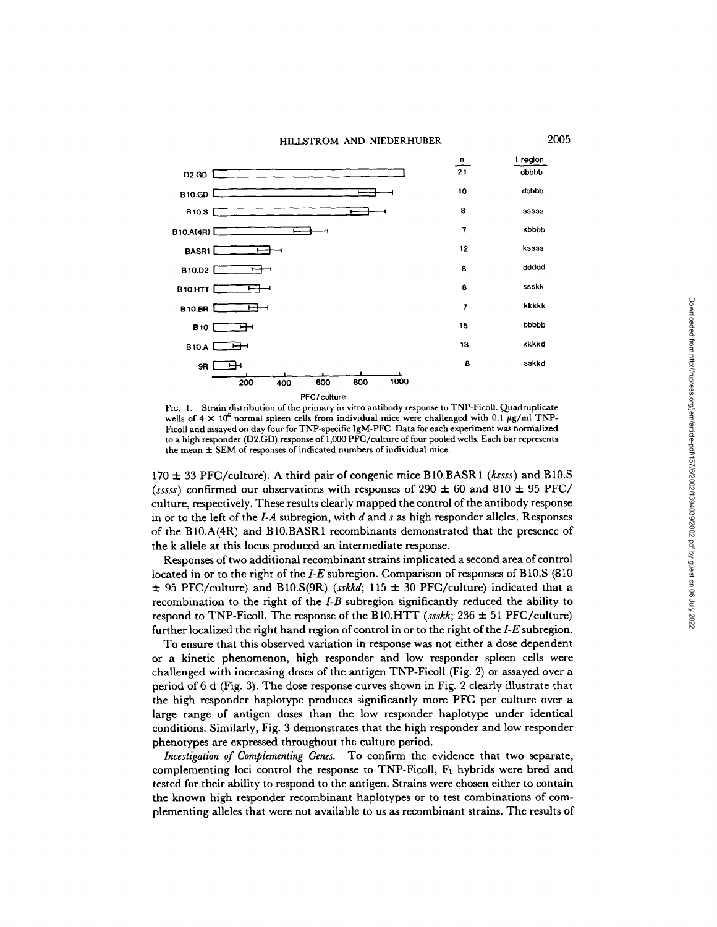#### HILLSTROM AND NIEDERHUBER



FIG. 1. Strain distribution of the primary in vitro antibody response to TNP-Ficoll. Quadruplicate wells of  $4 \times 10^6$  normal spleen cells from individual mice were challenged with 0.1  $\mu$ g/ml TNP-Ficoll and assayed on day four for TNP-specific IgM-PFC. Data for each experiment was normalized to a high responder (D2.GD) response of 1,000 PFC/cuhure of four pooled wells. Each bar represents the mean  $\pm$  SEM of responses of indicated numbers of individual mice.

170 \_\_. 33 PFC/cuhure). A third pair of congenic mice BI0.BASR1 *(kssss)* and B10.S (ssss) confirmed our observations with responses of 290  $\pm$  60 and 810  $\pm$  95 PFC/ culture, respectively. These results clearly mapped the control of the antibody response in or to the left of the *I-A* subregion, with d and s as high responder alleles. Responses of the B10.A(4R) and B10.BASR1 recomhinants demonstrated that the presence of the k allele at this locus produced an intermediate response.

Responses of two additional recombinant strains implicated a second area of control located in or to the right of the *I-E* subregion. Comparison of responses of B10.S (810  $\pm$  95 PFC/culture) and B10.S(9R) *(sskkd;* 115  $\pm$  30 PFC/culture) indicated that a recombination to the right of the *I-B* subregion significantly reduced the ability to respond to TNP-Ficoll. The response of the B10.HTT *(ssskk;*  $236 \pm 51$  PFC/culture) further localized the right hand region of control in or to the right of the *I-E* subregion.

To ensure that this observed variation in response was not either a dose dependent or a kinetic phenomenon, high responder and low responder spleen cells were challenged with increasing doses of the antigen TNP-Ficoll (Fig. 2) or assayed over a period of 6 d (Fig. 3). The dose response curves shown in Fig. 2 clearly illustrate that the high responder haplotype produces significantly more PFC per culture over a large range of antigen doses than the low responder haplotype under identical conditions. Similarly, Fig. 3 demonstrates that the high responder and low responder phenotypes are expressed throughout the culture period.

*Investigation of Complementing Genes.* To confirm the evidence that two separate, complementing loci control the response to TNP-Ficoll,  $F_1$  hybrids were bred and tested for their ability to respond to the antigen. Strains were chosen either to contain the known high responder recombinant haplotypes or to test combinations of complementing alleles that were not available to us as recombinant strains. The results of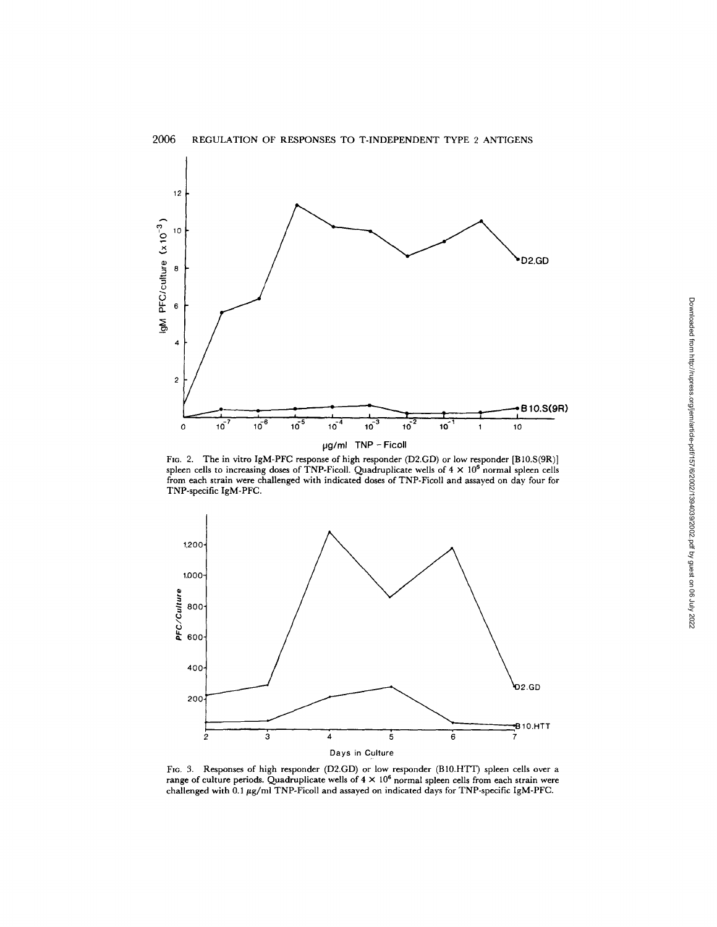

F1G. 2. The in vitro IgM-PFC response of high responder (D2.GD) or low responder [B10.S(9R)]<br>spleen cells to increasing doses of TNP-Ficoll. Quadruplicate wells of 4 × 10<sup>6</sup> normal spleen cells from each strain were challenged with indicated doses of TNP-Ficoll and assayed on day four for TNP-specific IgM-PFC.



FIG. 3. Responses of high responder (D2.GD) or low responder (B10.HTT) spleen cells over a range of culture periods. Quadruplicate wells of  $4 \times 10^6$  normal spleen cells from each strain were challenged with 0.1  $\mu$ g/ml TNP-Ficoll and assayed on indicated days for TNP-specific IgM-PFC.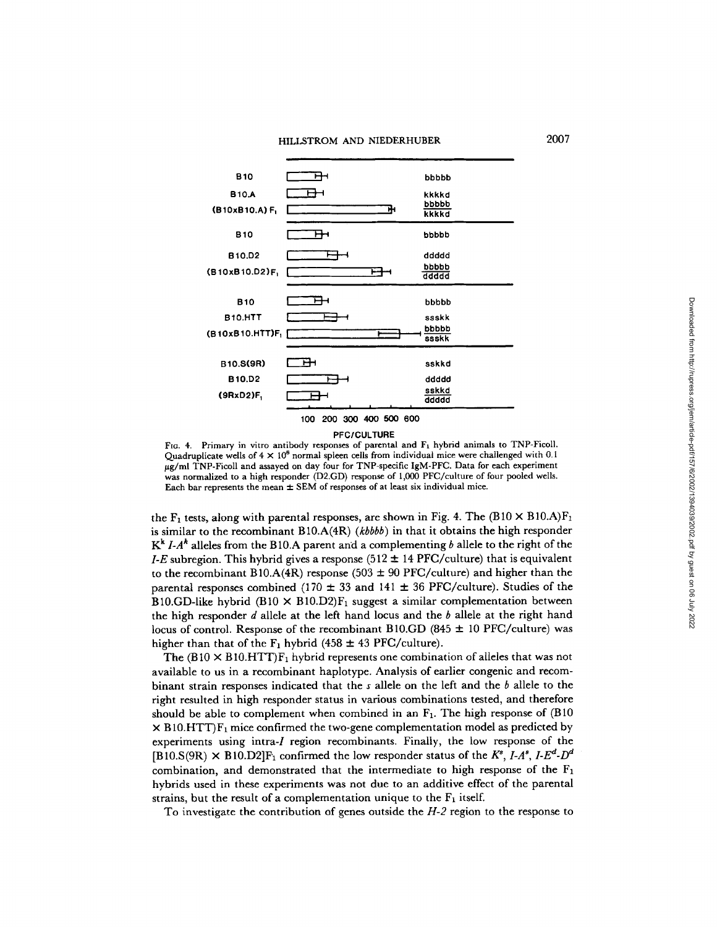

#### PFCICULTURE

FIG. 4. Primary in vitro antibody responses of parental and F<sub>1</sub> hybrid animals to TNP-Ficoll. Quadruplicate wells of  $4 \times 10^8$  normal spleen cells from individual mice were challenged with 0.1 ug/ml TNP-Ficoll and assayed on day four for TNP-specific IgM-PFC. Data for each experiment was normalized to a high responder (D2.GD) response of 1,000 PFC/cuhure of four pooled wells. Each bar represents the mean  $\pm$  SEM of responses of at least six individual mice.

the  $F_1$  tests, along with parental responses, are shown in Fig. 4. The (B10  $\times$  B10.A) $F_1$ is similar to the recombinant B 10.A(4R) *(kbbbb)* in that it obtains the high responder  $K^k$  *I-A*<sup>k</sup> alleles from the B10.A parent and a complementing b allele to the right of the *I-E* subregion. This hybrid gives a response (512  $\pm$  14 PFC/culture) that is equivalent to the recombinant B10.A(4R) response (503  $\pm$  90 PFC/culture) and higher than the parental responses combined (170  $\pm$  33 and 141  $\pm$  36 PFC/culture). Studies of the B10.GD-like hybrid (B10  $\times$  B10.D2)F<sub>1</sub> suggest a similar complementation between the high responder  $d$  allele at the left hand locus and the  $b$  allele at the right hand locus of control. Response of the recombinant B10.GD (845  $\pm$  10 PFC/culture) was higher than that of the  $F_1$  hybrid (458  $\pm$  43 PFC/culture).

The (B10  $\times$  B10.HTT)F<sub>1</sub> hybrid represents one combination of alleles that was not available to us in a recombinant haplotype. Analysis of earlier congenic and recombinant strain responses indicated that the s allele on the left and the b allele to the right resulted in high responder status in various combinations tested, and therefore should be able to complement when combined in an  $F_1$ . The high response of (B10)  $\times$  B10.HTT) $F_1$  mice confirmed the two-gene complementation model as predicted by experiments using intra-I region recombinants. Finally, the low response of the  $[B10.S(9R) \times B10.D2]F_1$  confirmed the low responder status of the  $K^s$ ,  $I-A^s$ ,  $I-E^d-D^d$ combination, and demonstrated that the intermediate to high response of the  $F_1$ hybrids used in these experiments was not due to an additive effect of the parental strains, but the result of a complementation unique to the  $F_1$  itself.

To investigate the contribution of genes outside the *H-2* region to the response to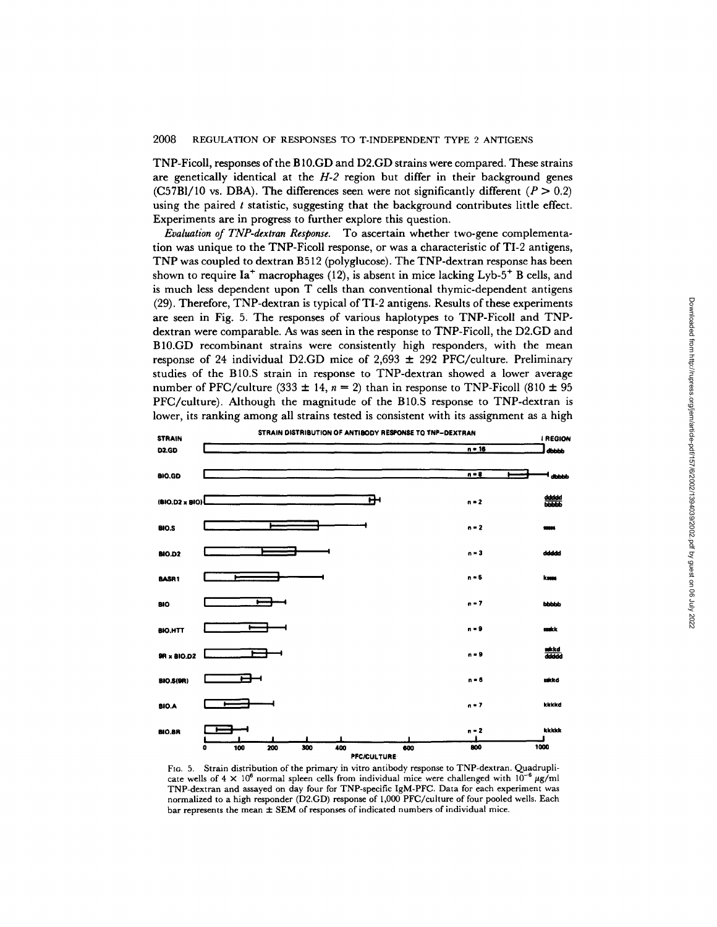TNP-Ficoll, responses of the B 10.GD and D2.GD strains were compared. These strains are genetically identical at the *H-2* region but differ in their background genes  $(C57B1/10$  vs. DBA). The differences seen were not significantly different  $(P > 0.2)$ using the paired  $t$  statistic, suggesting that the background contributes little effect. Experiments are in progress to further explore this question.

*Evaluation of TNP-dextran Response.* To ascertain whether two-gene complementation was unique to the TNP-Ficoll response, or was a characteristic of TI-2 antigens, TNP was coupled to dextran B512 (polyglucose). The TNP-dextran response has been shown to require  $Ia^+$  macrophages (12), is absent in mice lacking  $Lvb-5^+$  B cells, and is much less dependent upon T cells than conventional thymic-dependent antigens (29). Therefore, TNP-dextran is typical of TI-2 antigens. Results of these experiments are seen in Fig. 5. The responses of various haplotypes to TNP-Ficoll and TNPdextran were comparable. As was seen in the response to TNP-FicoI1, the D2.GD and B10.GD recombinant strains were consistently high responders, with the mean response of 24 individual D2.GD mice of 2,693  $\pm$  292 PFC/culture. Preliminary studies of the B10.S strain in response to TNP-dextran showed a lower average number of PFC/culture (333  $\pm$  14,  $n = 2$ ) than in response to TNP-Ficoll (810  $\pm$  95 PFC/culture). Although the magnitude of the B10.S response to TNP-dextran is lower, its ranking among all strains tested is consistent with its assignment as a high



FIG. 5. Strain distribution of the primary in vitro antibody response to TNP-dextran. Quadruplicate wells of  $4 \times 10^6$  normal spleen cells from individual mice were challenged with  $10^{-6}$  µg/ml TNP-dextran and assayed on day four for TNP-specific IgM-PFC. Data for each experiment was normalized to a high responder (D2.GD) response of 1,000 PFC/euhure of four pooled wells. Each bar represents the mean  $\pm$  SEM of responses of indicated numbers of individual mice.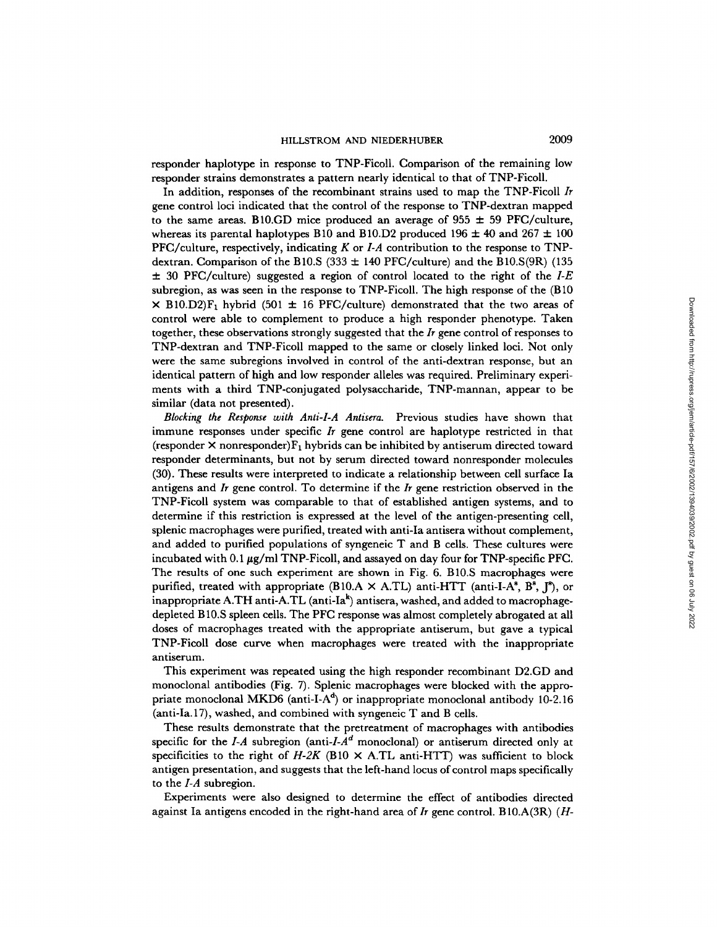responder haplotype in response to TNP-FicolI. Comparison of the remaining low responder strains demonstrates a pattern nearly identical to that of TNP-FicolI.

In addition, responses of the recombinant strains used to map the TNP-Ficoll *Ir*  gene control loci indicated that the control of the response to TNP-dextran mapped to the same areas. B10.GD mice produced an average of 955  $\pm$  59 PFC/culture, whereas its parental haplotypes B10 and B10.D2 produced 196  $\pm$  40 and 267  $\pm$  100 PFC/culture, respectively, indicating K or *LA* contribution to the response to TNPdextran. Comparison of the B10.S (333  $\pm$  140 PFC/culture) and the B10.S(9R) (135 ± 30 PFC/eulture) suggested a region of control located to the right of the *I-E*  subregion, as was seen in the response to TNP-FicolI. The high response of the (B10  $\times$  B10.D2)F<sub>1</sub> hybrid (501  $\pm$  16 PFC/culture) demonstrated that the two areas of control were able to complement to produce a high responder phenotype. Taken together, these observations strongly suggested that the *Ir* gene control of responses to TNP-dextran and TNP-Ficoll mapped to the same or closely linked loci. Not only were the same subregions involved in control of the anti-dextran response, but an identical pattern of high and low responder alleles was required. Preliminary experiments with a third TNP-conjugated polysaccharide, TNP-mannan, appear to be similar (data not presented).

*Blocking the Response with Anti-I-A Antisera.* Previous studies have shown that immune responses under specific *Ir* gene control are haplotype restricted in that (responder  $\times$  nonresponder) $F_1$  hybrids can be inhibited by antiserum directed toward responder determinants, but not by serum directed toward nonresponder molecules (30). These results were interpreted to indicate a relationship between cell surface Ia antigens and *Ir* gene control. To determine if the *Ir* gene restriction observed in the TNP-Ficoll system was comparable to that of established antigen systems, and to determine if this restriction is expressed at the level of the antigen-presenting cell, splenic macrophages were purified, treated with anti-Ia antisera without complement, and added to purified populations of syngeneic T and B cells. These cultures were incubated with  $0.1 \,\mu$ g/ml TNP-Ficoll, and assayed on day four for TNP-specific PFC. The results of one such experiment are shown in Fig. 6. B10.S macrophages were purified, treated with appropriate (B10.A  $\times$  A.TL) anti-HTT (anti-I-A<sup>s</sup>, B<sup>s</sup>, J<sup>s</sup>), or inappropriate A.TH anti-A.TL (anti-Ia $^k$ ) antisera, washed, and added to macrophagedepleted B 10.S spleen cells. The PFC response was almost completely abrogated at all doses of macrophages treated with the appropriate antiserum, but gave a typical TNP-Ficoll dose curve when macrophages were treated with the inappropriate antiserum.

This experiment was repeated using the high responder recombinant D2.GD and monoelonal antibodies (Fig. 7). Splenic macrophages were blocked with the appropriate monoclonal MKD6 (anti-I-A<sup> $d$ </sup>) or inappropriate monoclonal antibody 10-2.16 (anti-Ia. 17), washed, and combined with syngeneic T and B cells.

These results demonstrate that the pretreatment of macrophages with antibodies specific for the  $I-A$  subregion *(anti-I-A<sup>d</sup>* monoclonal) or antiserum directed only at specificities to the right of  $H-2K$  (B10  $\times$  A.TL anti-HTT) was sufficient to block antigen presentation, and suggests that the left-hand locus of control maps specifically to the *I-A* subregion.

Experiments were also designed to determine the effect of antibodies directed against Ia antigens encoded in the right-hand area *of lr* gene control. B 10.A(3R) (H-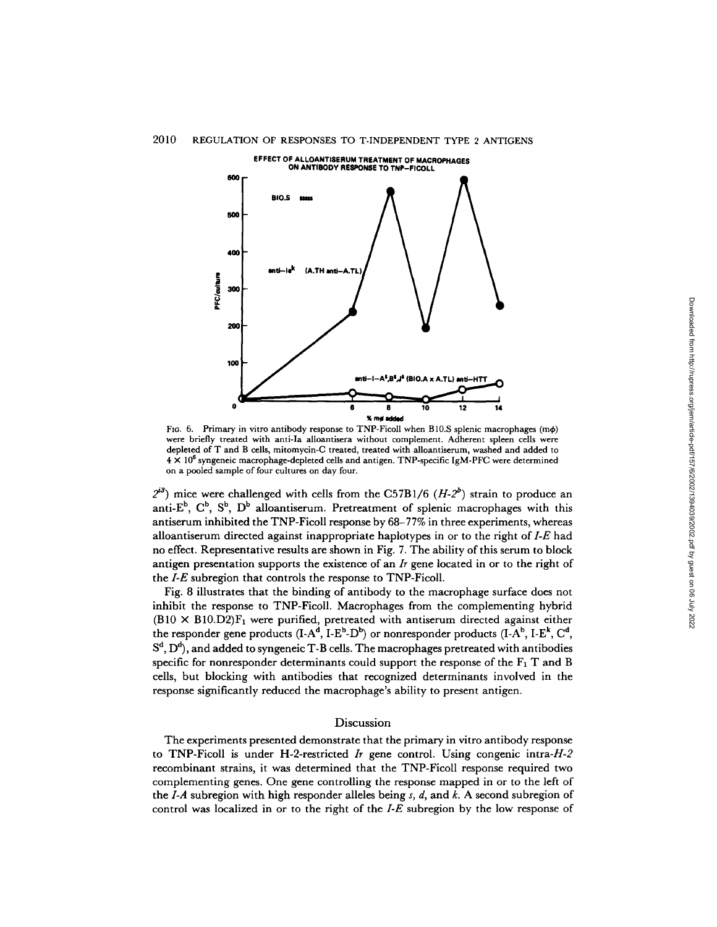

FIG. 6. Primary in vitro antibody response to TNP-Ficoll when B10.S splenic macrophages (m $\phi$ ) were briefly treated with anti-Ia alloantisera without complement. Adherent spleen cells were depleted of T and B cells, mitomycin-C treated, treated with alloantiserum, washed and added to  $4 \times 10^6$  syngeneic macrophage-depleted cells and antigen. TNP-specific IgM-PFC were determined on a pooled sample of four cultures on day four.

 $2^{2}$  mice were challenged with cells from the C57B1/6  $(H-2^b)$  strain to produce an anti- $E^b$ ,  $C^b$ ,  $S^b$ ,  $D^b$  alloantiserum. Pretreatment of splenic macrophages with this antiserum inhibited the TNP-Ficoll response by 68-77% in three experiments, whereas alloantiserum directed against inappropriate haplotypes in or to the right of *I-E* had no effect. Representative results are shown in Fig. 7. The ability of this serum to block antigen presentation supports the existence of an *Ir* gene located in or to the right of the *I-E* subregion that controls the response to TNP-Ficoll.

Fig. 8 illustrates that the binding of antibody to the macrophage surface does not inhibit the response to TNP-Ficoll. Macrophages from the complementing hybrid  $(B10 \times B10.D2)F_1$  were purified, pretreated with antiserum directed against either the responder gene products  $(I-A^d, I-E^b, D^b)$  or nonresponder products  $(I-A^b, I-E^k, C^d,$  $S^d$ ,  $D^d$ ), and added to syngeneic T-B cells. The macrophages pretreated with antibodies specific for nonresponder determinants could support the response of the  $F_1$  T and B cells, but blocking with antibodies that recognized determinants involved in the response significantly reduced the macrophage's ability to present antigen.

## **Discussion**

The experiments presented demonstrate that the primary in vitro antibody response to TNP-Ficoll is under H-2-restricted  $\bar{I}r$  gene control. Using congenic intra- $H-2$ recombinant strains, it was determined that the TNP-Ficoll response required two complementing genes. One gene controlling the response mapped in or to the left of the *I-A* subregion with high responder alleles being s, d, and k. A second subregion of control was localized in or to the right of the *I-E* subregion by the low response of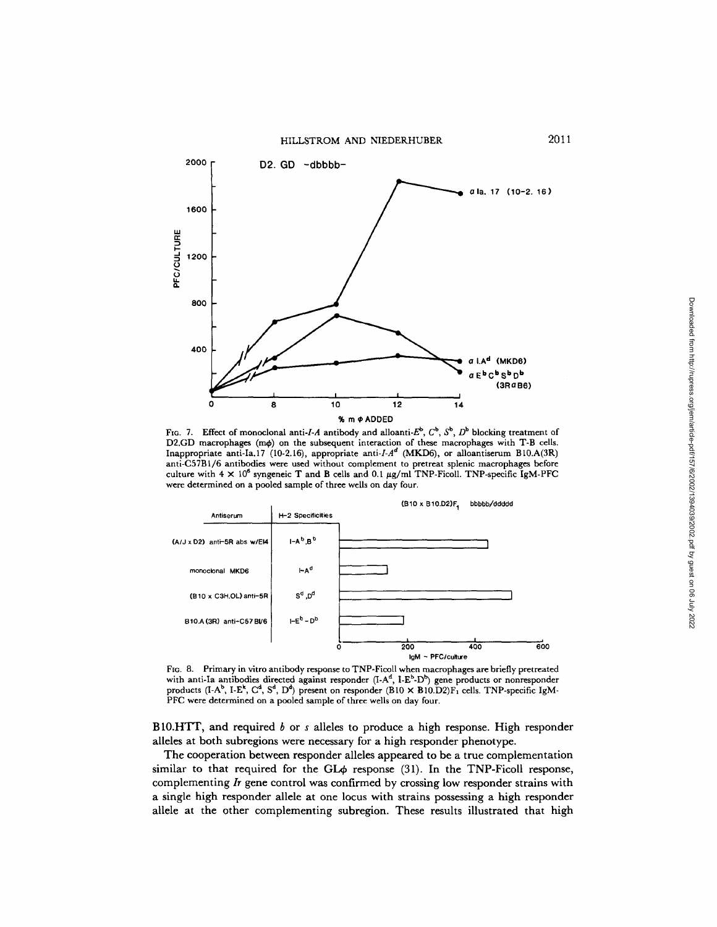HILLSTROM AND NIEDERHUBER 2011



FIG. 7. Effect of monoclonal anti-I-A antibody and alloanti- $E^b$ ,  $C^b$ ,  $S^b$ ,  $D^b$  blocking treatment of D2.GD macrophages (m $\phi$ ) on the subsequent interaction of these macrophages with T-B cells. Inappropriate anti-Ia.17 (10-2.16), appropriate anti-I-A<sup>d</sup> (MKD6), or alloantiserum B10.A(3R) anti-C57B1/6 antibodies were used without complement to pretreat splenic macrophages before culture with  $4 \times 10^6$  syngeneic T and B cells and 0.1  $\mu$ g/ml TNP-Ficoll. TNP-specific IgM-PFC were determined on a pooled sample of three wells on day four.



FIG. 8. Primary in vitro antibody response to TNP-Ficoll when macrophages are briefly pretreated with anti-Ia antibodies directed against responder  $(I-A<sup>d</sup>, I-E<sup>b</sup>-D<sup>b</sup>)$  gene products or nonresponder products (I-A<sup>b</sup>, I-E<sup>k</sup>, C<sup>d</sup>, S<sup>d</sup>, D<sup>d</sup>) present on responder (B10  $\times$  B10.D2)F<sub>1</sub> cells. TNP-specific IgM-PFC were determined on a pooled sample of three wells on day four.

B10.HTT, and required  $b$  or  $s$  alleles to produce a high response. High responder alleles at both subregions were necessary for a high responder phenotype.

The cooperation between responder alleles appeared to be a true complementation similar to that required for the GL $\phi$  response (31). In the TNP-Ficoll response, complementing *Ir* gene control was confirmed by crossing low responder strains with a single high responder allele at one locus with strains possessing a high responder allele at the other complementing subregion. These results illustrated that high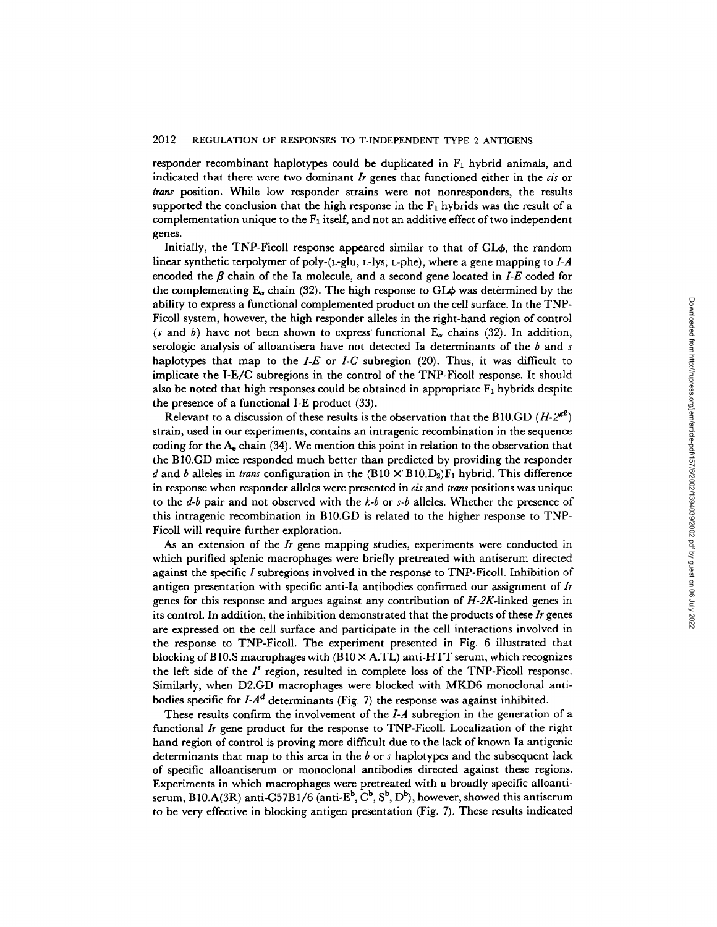responder recombinant haplotypes could be duplicated in  $F_1$  hybrid animals, and indicated that there were two dominant *Ir* genes that functioned either in the *cis* or *trans* position. While low responder strains were not nonresponders, the results supported the conclusion that the high response in the  $F_1$  hybrids was the result of a complementation unique to the  $F_1$  itself, and not an additive effect of two independent genes.

Initially, the TNP-Ficoll response appeared similar to that of  $GL_{\Phi}$ , the random linear synthetic terpolymer of poly-(L-glu, L-Iys; L-phe), where a gene mapping to *I-A*  encoded the  $\beta$  chain of the Ia molecule, and a second gene located in *I-E* coded for the complementing  $E_a$  chain (32). The high response to GL $\phi$  was determined by the ability to express a functional complemented product on the cell surface. In the TNP-Ficoll system, however, the high responder alleles in the right-hand region of control (s and b) have not been shown to express functional  $E_{\alpha}$  chains (32). In addition, serologic analysis of alloantisera have not detected Ia determinants of the  $b$  and s haplotypes that map to the  $I-E$  or  $I-C$  subregion (20). Thus, it was difficult to implicate the I-E/C subregions in the control of the TNP-Ficoll response. It should also be noted that high responses could be obtained in appropriate  $F_1$  hybrids despite the presence of a functional I-E product (33).

Relevant to a discussion of these results is the observation that the B10.GD  $(H-2^{g2})$ strain, used in our experiments, contains an intragenic recombination in the sequence coding for the  $A_e$  chain (34). We mention this point in relation to the observation that the B 10.GD mice responded much better than predicted by providing the responder d and b alleles in *trans* configuration in the  $(B10 \times B10,D_2)F_1$  hybrid. This difference in response when responder alleles were presented in *cis* and *trans* positions was unique to the *d-b* pair and not observed with the *k-b* or *s-b* alleles. Whether the presence of this intragenic recombination in B10.GD is related to the higher response to TNP-Ficoll will require further exploration.

As an extension of the *Ir* gene mapping studies, experiments were conducted in which purified splenic macrophages were briefly pretreated with antiserum directed against the specific  $I$  subregions involved in the response to TNP-Ficoll. Inhibition of antigen presentation with specific anti-Ia antibodies confirmed our assignment of *Ir*  genes for this response and argues against any contribution of *H-2K-linked* genes in its control. In addition, the inhibition demonstrated that the products of these *Ir* genes are expressed on the cell surface and participate in the cell interactions involved in the response to TNP-FicoI1. The experiment presented in Fig. 6 illustrated that blocking of B10.S macrophages with  $(B10 \times A.\text{TL})$  anti-HTT serum, which recognizes the left side of the  $I^s$  region, resulted in complete loss of the TNP-Ficoll response. Similarly, when D2.GD macrophages were blocked with MKD6 monoclonal antibodies specific for  $I-A^d$  determinants (Fig. 7) the response was against inhibited.

These results confirm the involvement of the *I-A* subregion in the generation of a functional *Ir* gene product for the response to TNP-FicoI1. Localization of the right hand region of control is proving more difficult due to the lack of known Ia antigenic determinants that map to this area in the b or s haplotypes and the subsequent lack of specific alloantiserum or monoclonal antibodies directed against these regions. Experiments in which macrophages were pretreated with a broadly specific alloantiserum, B10.A(3R) anti-C57B1/6 (anti-E<sup>b</sup>, C<sup>b</sup>, S<sup>b</sup>, D<sup>b</sup>), however, showed this antiserum to be very effective in blocking antigen presentation (Fig. 7). These results indicated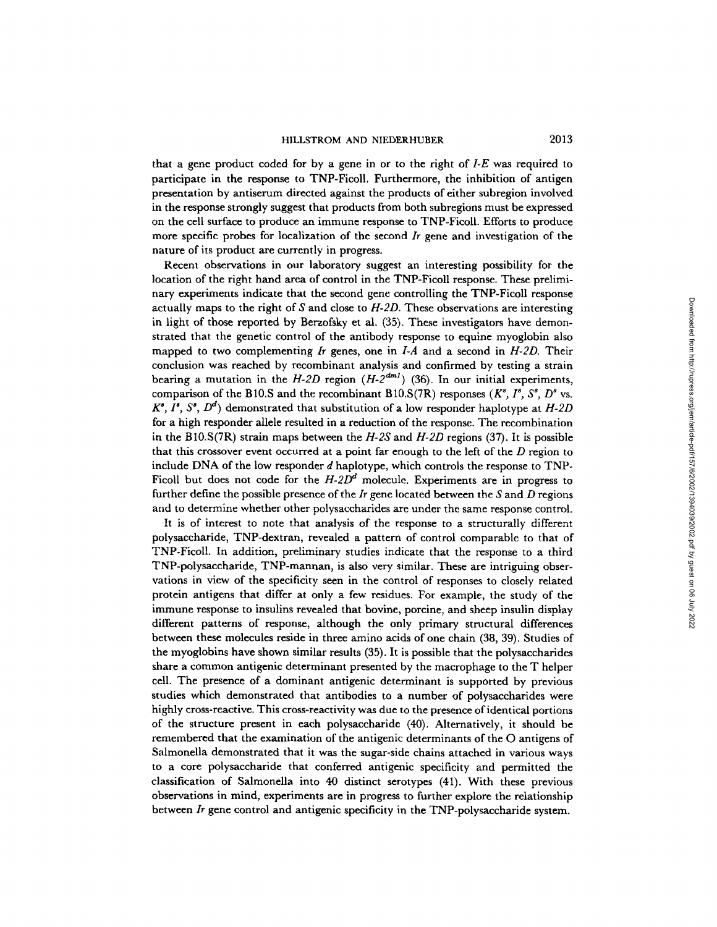that a gene product coded for by a gene in or to the right of *I-E* was required to participate in the response to TNP-FicolI. Furthermore, the inhibition of antigen presentation by antiserum directed against the products of either subregion involved in the response strongly suggest that products from both subregions must be expressed on the cell surface to produce an immune response to TNP-FicolI. Efforts to produce more specific probes for localization of the second *Ir* gene and investigation of the nature of its product are currently in progress.

Recent observations in our laboratory suggest an interesting possibility for the location of the right hand area of control in the TNP-Ficoll response. These preliminary experiments indicate that the second gene controlling the TNP-Ficoll response actually maps to the right of S and close to *H-2D.* These observations are interesting in light of those reported by Berzofsky et al. (35). These investigators have demonstrated that the genetic control of the antibody response to equine myoglobin also mapped to two complementing *Ir* genes, one in *I-A* and a second in *H-2D.* Their conclusion was reached by recombinant analysis and confirmed by testing a strain bearing a mutation in the  $H$ -2D region  $(H-2^{dm1})$  (36). In our initial experiments, comparison of the B10.S and the recombinant B10.S(7R) responses  $(K^s, I^s, S^s, D^s$  vs.  $K^s$ ,  $I^s$ ,  $S^s$ ,  $D^d$ ) demonstrated that substitution of a low responder haplotype at *H-2D* for a high responder allele resulted in a reduction of the response. The recombination in the B10.S(TR) strain maps between the *H-2S* and *H-2D* regions (37). It is possible that this crossover event occurred at a point far enough to the left of the  $D$  region to include DNA of the low responder d haplotype, which controls the response to TNP-Ficoll but does not code for the  $H-2D<sup>d</sup>$  molecule. Experiments are in progress to further define the possible presence of the *Ir* gene located between the S and D regions and to determine whether other polysaccharides are under the same response control.

It is of interest to note that analysis of the response to a structurally different polysaccharide, TNP-dextran, revealed a pattern of control comparable to that of TNP-Ficoll. In addition, preliminary studies indicate that the response to a third TNP-polysaccharide, TNP-mannan, is also very similar. These are intriguing observations in view of the specificity seen in the control of responses to closely related protein antigens that differ at only a few residues. For example, the study of the immune response to insulins revealed that bovine, porcine, and sheep insulin display different patterns of response, although the only primary structural differences between these molecules reside in three amino acids of one chain (38, 39). Studies of the myoglobins have shown similar results (35). It is possible that the polysaccharides share a common antigenic determinant presented by the macrophage to the T helper cell. The presence of a dominant antigenic determinant is supported by previous studies which demonstrated that antibodies to a number of polysaccharides were highly cross-reactive. This cross-reactivity was due to the presence of identical portions of the structure present in each polysaccharide (40). Alternatively, it should be remembered that the examination of the antigenic determinants of the O antigens of Salmonella demonstrated that it was the sugar-side chains attached in various ways to a core polysaccharide that conferred antigenic specificity and permitted the classification of Salmonella into 40 distinct serotypes (41). With these previous observations in mind, experiments are in progress to further explore the relationship between *Ir* gene control and antigenic specificity in the TNP-polysaccharide system.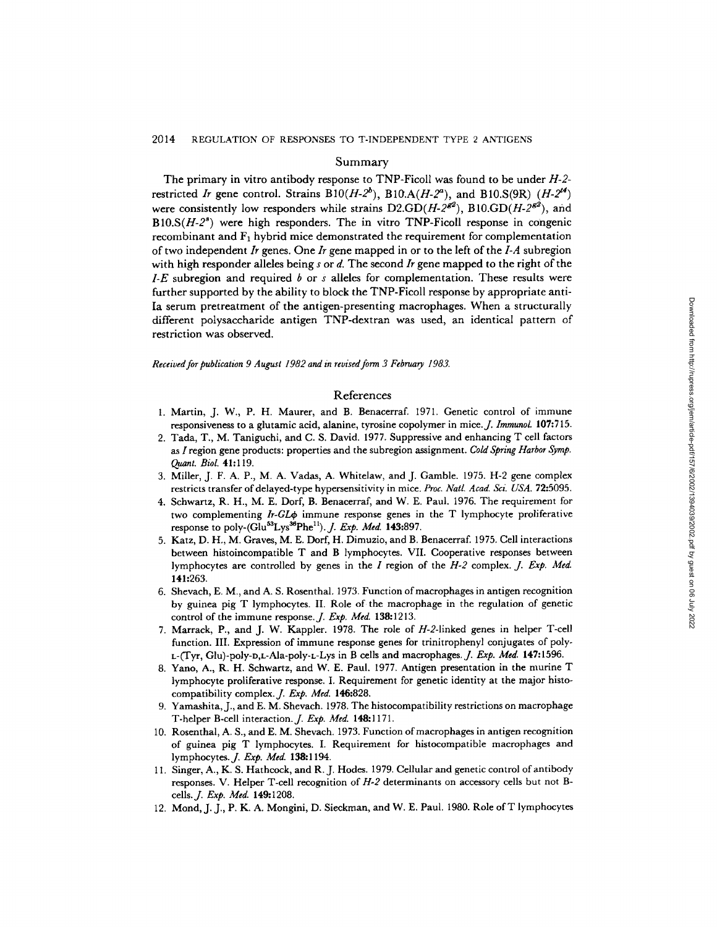## Summary

The primary in vitro antibody response to TNP-Ficoll was found to be under *H-2*  restricted *Ir* gene control. Strains  $B10(H-2^b)$ ,  $B10.A(H-2^a)$ , and  $B10.S(9R)$  ( $H-2^{14}$ ) were consistently low responders while strains  $D2.GD(H-2^{g2})$ ,  $B10.GD(H-2^{g2})$ , and  $B10.S(H-2<sup>s</sup>)$  were high responders. The in vitro TNP-Ficoll response in congenic recombinant and  $F_1$  hybrid mice demonstrated the requirement for complementation of two independent *Ir* genes. One *Ir* gene mapped in or to the left of the *I-A* subregion with high responder alleles being s or d. The second *Ir* gene mapped to the right of the *I-E* subregion and required b or s alleles for complementation. These results were further supported by the ability to block the TNP-Fieoll response by appropriate anti-Ia serum pretreatment of the antigen-presenting macrophages. When a structurally different polysaceharide antigen TNP-dextran was used, an identical pattern of restriction was observed.

*Received for publication 9 August 1982 and in revised form 3 February 1983.* 

## References

- 1. Martin, J. W., P. H. Maurer, and B. Benacerraf. 1971. Genetic control of immune responsiveness to a glutamic acid, alanine, tyrosine copolymer in mice. *J. Immunol.* 107:715.
- 2. Tada, T., M. Taniguchi, and C. S. David. 1977. Suppressive and enhancing T cell factors as I region gene products: properties and the subregion assignment. *Cold Spring Harbor Symp*. *Quant. Biol.* 41:119.
- 3. Miller, J. F. A. P., M. A. Vadas, A. Whitelaw, and J. Gamble. 1975. H-2 gene complex restricts transfer of delayed-type hypersensitivity in mice. *Proc. Natl. Acad. Sci. USA.* 72:5095.
- 4. Schwartz, R. H., M. E. Dorf, B. Benacerraf, and W. E. Paul. 1976. The requirement for two complementing *Ir-GL* $\phi$  immune response genes in the T lymphocyte proliferative response to poly-(Glu<sup>53</sup>Lys<sup>36</sup>Phe<sup>11</sup>). *J. Exp. Med.* **143:**897.
- 5. Katz, D. H., M. Graves, M. E. Dorf, H. Dimuzio, and B. Benacerraf. 1975. Cell interactions between histoincompatible T and B lymphocytes. VII. Cooperative responses between lymphoeytes are controlled by genes in the I region of the *H-2* complex. *J. Exp. Med.*  141:263.
- 6. Shevach, E. M., and A. S. Rosenthal. 1973. Function ofmacrophages in antigen recognition by guinea pig T lymphocytes. II. Role of the macrophage in the regulation of genetic control of the immune response. *J. Exp. Med.* 138:1213.
- 7. Marrack, P., and J. W. Kappler. 1978. The role of H-2-1inked genes in helper T-cell function. III. Expression of immune response genes for trinitrophenyl conjugates of poly-L-(Tyr, Glu)-poly-D,L-Ala-poly-L-Lys in B cells and macrophages. *J. Exp. Med.* 147:1596.
- 8. Yano, A., R. H. Schwartz, and W. E. Paul. 1977. Antigen presentation in the murine T lymphocyte proliferative response. I. Requirement for genetic identity at the major histocompatibility eomplex.J. *Exp. Med.* 146:828.
- 9. Yamashita, J., and E. M. Shevach. 1978. The histocompatibility restrictions on macrophage T-helper B-cell interaetion.J. *Exp. Med.* 148:1171.
- 10. Rosenthal, A. S., and E. M. Shevach. 1973. Function ofmacrophages in antigen recognition of guinea pig T lymphoeytes. I. Requirement for histocompatible macrophages and lymphocytes.J. *Exp. Med.* 138:1194.
- 11. Singer, A., K. S. Hatheock, and R. J. Hodes. 1979. Cellular and genetic control of antibody responses. V. Helper T-cell recognition of *H-2* determinants on accessory cells hut not Bcells.J. *Exp. Med.* 149:1208.
- 12. Mond, J. J., P. K. A. Mongini, D. Sieckman, and W. E. Paul. 1980. Role ofT lymphocytes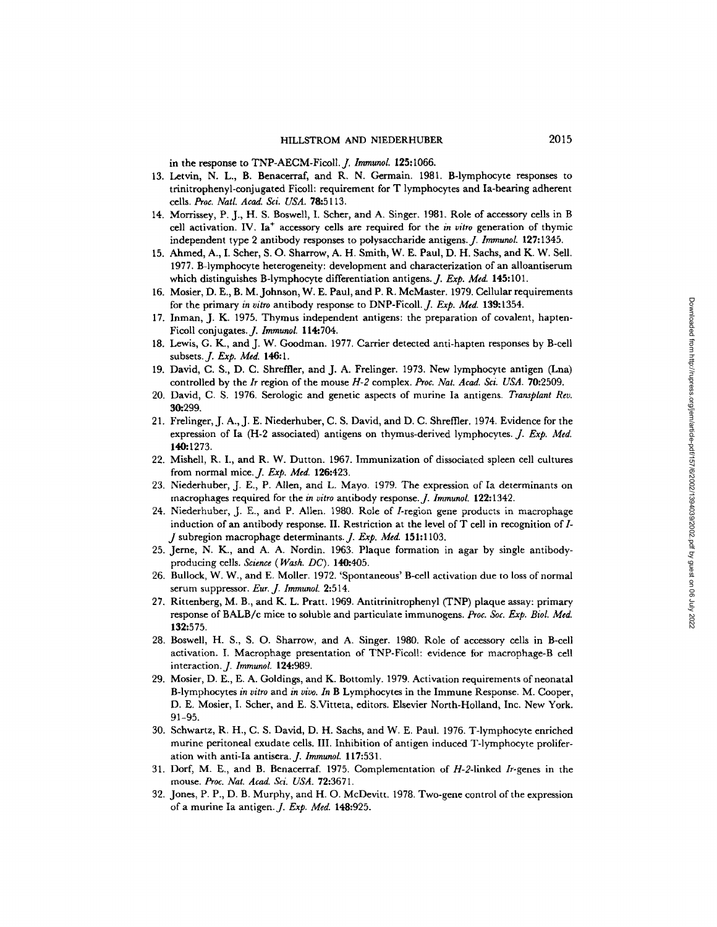in the response to TNP-AECM-Ficoll. *J. Immunol.* 125:1066.

- 13. Letvin, N. L., B. Benacerraf, and R. N. Germain. 1981. B-lymphocyte responses to trinitrophenyl-conjugated Ficoll: requirement for T lymphocytes and Ia-bearing adherent ceils. *Proc. Natl. Acad. Sci. USA.* 78:5113.
- 14. Morrissey, P. J., H. S. Boswell, I. Scher, and A. Singer. 1981. Role of accessory cells in B cell activation. IV. Ia<sup>+</sup> accessory cells are required for the *in vitro* generation of thymic independent type 2 antibody responses to polysaccharide antigens. *J. Immunol.* 127:1345.
- 15. Ahmed, A., I. Scher, S. O. Sharrow, A. H. Smith, W. E. Paul, D. H. Sachs, and K. W. Sell. 1977. B-lymphocyte heterogeneity: development and characterization of an alloantiserum which distinguishes B-lymphocyte differentiation antigens. *J. Exp. Med.* 145:101.
- 16. Mosier, D. E., B. M. Johnson, W. E. Paul, and P. R. McMaster. 1979. Cellular requirements for the primary *in vitro* antibody response to DNP-FicoI1. *J. Exp. Med.* 139:1354.
- 17. Inman, J. K. 1975. Thymus independent antigens: the preparation of covalent, hapten-Ficoll conjugates. *J. Immunol.* 114:704.
- 18. Lewis, G. K., and J. W. Goodman. 1977. Carrier detected anti-hapten responses by B-cell subsets.J. *Exp. Med.* 146:1.
- 19. David, C. S., D. C. Shreffler, and J. A. Frelinger. 1973. New lymphocyte antigen (Lna) controlled by the/r region of the mouse *H-2* complex. *Proc. Nat. Acad. Sci. USA.* 70:2509.
- 20. David, C. S. 1976. Serologic and genetic aspects of murine Ia antigens. *Transplant Rev.*  30.299.
- 21. Frelinger, J. A., J. E. Niederhuber, C. S. David, and D. C. Shreffier. 1974. Evidence for the expression of Ia (H-2 associated) antigens on thymus-derived lymphocytes. *J. Exp. Med.*  140:1273.
- 22. Mishell, R. I., and R. W. Dutton. 1967. Immunization of dissociated spleen cell cultures from normal mice.J. *Exp. Med.* 126:423.
- 23. Niederhuber, J. E., P. Allen, and L. Mayo. 1979. The expression of Ia determinants on macrophages required for the *in vitro* antibody response..], *lmmunol.* 122:1342.
- 24. Niederhuber, J. E., and P. Allen. 1980. Role of Lregion gene products in macrophage induction of an antibody response. II. Restriction at the level of  $T$  cell in recognition of  $I$ -J subregion macrophage determinants.J. *Exp. Med.* 151:1103.
- 25. Jerne, N. K., and A. A. Nordin. 1963. Plaque formation in agar by single antibodyproducing cells. *Science ( Wash. DC).* 140.405.
- 26. Bullock, W. W., and E. Moller. 1972. 'Spontaneous' B-cell activation due to loss of normal serum suppressor. *Eur. J. Immunol.* 2:514.
- 27. Rittenberg, M. B., and K. L. Pratt. 1969. Antitrinitrophenyl (TNP) plaque assay: primary response of BALB/c mice to soluble and particulate immunogens. *Proc. Soc. Exp. Biol. Med.*  132:575.
- 28. Boswell, H. S., S. O. Sharrow, and A. Singer. 1980. Role of accessory cells in B-cell activation. I. Maerophage presentation of TNP-Ficoll: evidence for macrophage-B cell interaction..]. *Immunol.* 124:989.
- 29. Mosier, D. E., E. A. Goldings, and K. Bottomly. 1979. Activation requirements of neonatal B-lymphocytes *in vitro* and *in vivo. In* B Lymphocytes in the Immune Response. M. Cooper, D. E. Mosier, I. Scher, and E. S.Vitteta, editors. Elsevier North-Holland, Inc. New York. 91-95.
- 30. Schwartz, R. H., C. S. David, D. H. Sachs, and W. E. Paul. 1976. T-lymphocyte enriched murine peritoneal exudate cells. III. Inhibition of antigen induced T-lymphocyte proliferation with anti-Ia antisera. *J. Immunol.* 117:531.
- 31. Dorf, M. E., and B. Benacerraf. 1975. Complementation of H-2-1inked /r-genes in the mouse. *Proc. Nat. Acad. Sci. USA.* 72:3671.
- 32. Jones, P. P., D. B. Murphy, and H. O. McDevitt. 1978. Two-gene control of the expression ofa murine Ia antigen.,]. *Exp. Med.* 148:925.

Downloaded from http://rupress.org/jern/article-pdf/157/6/2002/1394039/2002.pdf by guest on 06 July 2022 Downloaded from http://rupress.org/jem/article-pdf/157/6/2002/1394039/2002.pdf by guest on 06 July 2022